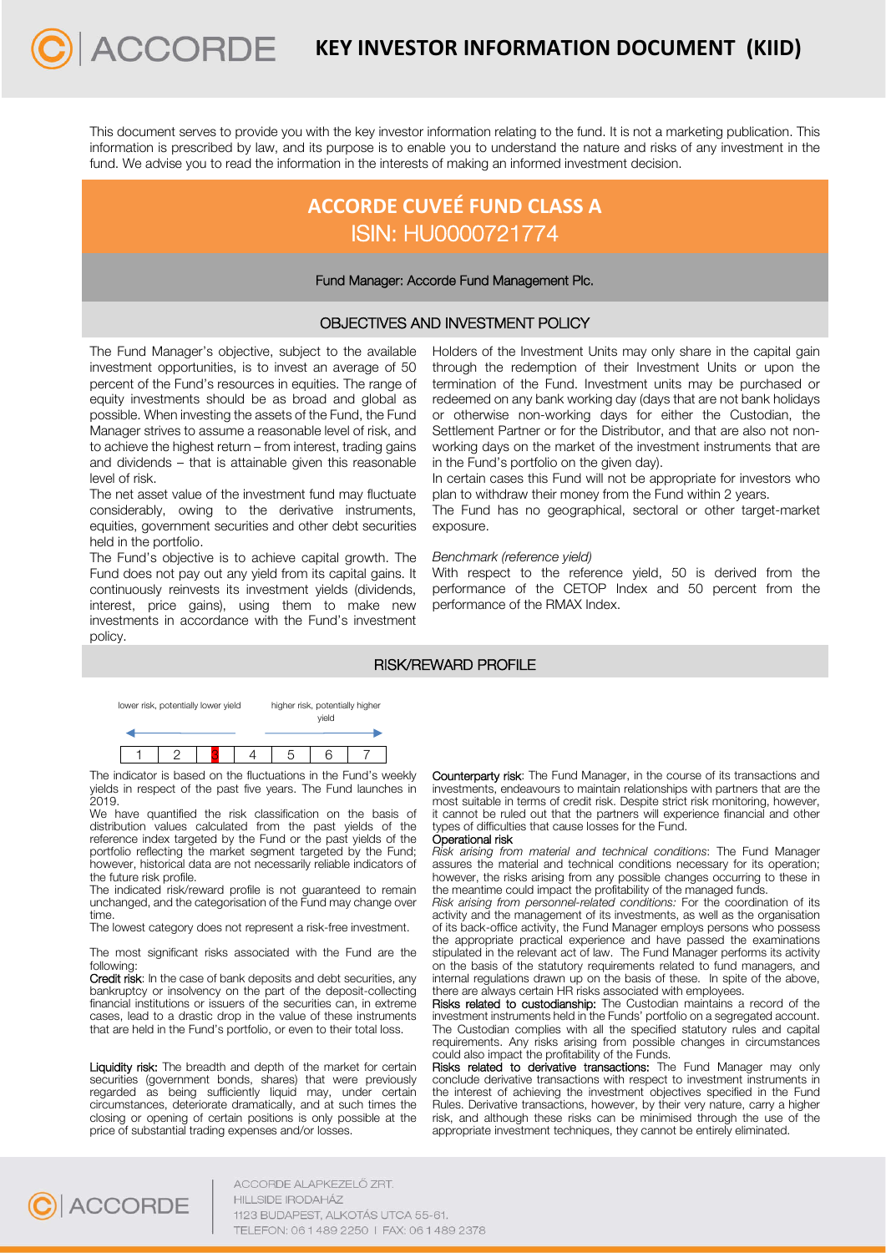This document serves to provide you with the key investor information relating to the fund. It is not a marketing publication. This information is prescribed by law, and its purpose is to enable you to understand the nature and risks of any investment in the fund. We advise you to read the information in the interests of making an informed investment decision.

# **ACCORDE CUVEÉ FUND CLASS A**  ISIN: HU0000721774

## Fund Manager: Accorde Fund Management Plc.

## OBJECTIVES AND INVESTMENT POLICY

The Fund Manager's objective, subject to the available investment opportunities, is to invest an average of 50 percent of the Fund's resources in equities. The range of equity investments should be as broad and global as possible. When investing the assets of the Fund, the Fund Manager strives to assume a reasonable level of risk, and to achieve the highest return – from interest, trading gains and dividends – that is attainable given this reasonable level of risk.

**ACCORDE** 

The net asset value of the investment fund may fluctuate considerably, owing to the derivative instruments, equities, government securities and other debt securities held in the portfolio.

The Fund's objective is to achieve capital growth. The Fund does not pay out any yield from its capital gains. It continuously reinvests its investment yields (dividends, interest, price gains), using them to make new investments in accordance with the Fund's investment policy.

Holders of the Investment Units may only share in the capital gain through the redemption of their Investment Units or upon the termination of the Fund. Investment units may be purchased or redeemed on any bank working day (days that are not bank holidays or otherwise non-working days for either the Custodian, the Settlement Partner or for the Distributor, and that are also not nonworking days on the market of the investment instruments that are in the Fund's portfolio on the given day).

In certain cases this Fund will not be appropriate for investors who plan to withdraw their money from the Fund within 2 years.

The Fund has no geographical, sectoral or other target-market exposure.

### *Benchmark (reference yield)*

With respect to the reference yield, 50 is derived from the performance of the CETOP Index and 50 percent from the performance of the RMAX Index.

# RISK/REWARD PROFILE



The indicator is based on the fluctuations in the Fund's weekly yields in respect of the past five years. The Fund launches in 2019.

We have quantified the risk classification on the basis of distribution values calculated from the past yields of the reference index targeted by the Fund or the past yields of the portfolio reflecting the market segment targeted by the Fund; however, historical data are not necessarily reliable indicators of the future risk profile.

The indicated risk/reward profile is not quaranteed to remain unchanged, and the categorisation of the Fund may change over time.

The lowest category does not represent a risk-free investment.

The most significant risks associated with the Fund are the following:

Credit risk: In the case of bank deposits and debt securities, any bankruptcy or insolvency on the part of the deposit-collecting financial institutions or issuers of the securities can, in extreme cases, lead to a drastic drop in the value of these instruments that are held in the Fund's portfolio, or even to their total loss.

Liquidity risk: The breadth and depth of the market for certain securities (government bonds, shares) that were previously regarded as being sufficiently liquid may, under certain circumstances, deteriorate dramatically, and at such times the closing or opening of certain positions is only possible at the price of substantial trading expenses and/or losses.

Counterparty risk: The Fund Manager, in the course of its transactions and investments, endeavours to maintain relationships with partners that are the most suitable in terms of credit risk. Despite strict risk monitoring, however, it cannot be ruled out that the partners will experience financial and other types of difficulties that cause losses for the Fund.

#### Operational risk

*Risk arising from material and technical conditions*: The Fund Manager assures the material and technical conditions necessary for its operation; however, the risks arising from any possible changes occurring to these in the meantime could impact the profitability of the managed funds.

*Risk arising from personnel-related conditions:* For the coordination of its activity and the management of its investments, as well as the organisation of its back-office activity, the Fund Manager employs persons who possess the appropriate practical experience and have passed the examinations stipulated in the relevant act of law. The Fund Manager performs its activity on the basis of the statutory requirements related to fund managers, and internal regulations drawn up on the basis of these. In spite of the above, there are always certain HR risks associated with employees.

Risks related to custodianship: The Custodian maintains a record of the investment instruments held in the Funds' portfolio on a segregated account. The Custodian complies with all the specified statutory rules and capital requirements. Any risks arising from possible changes in circumstances could also impact the profitability of the Funds.

Risks related to derivative transactions: The Fund Manager may only conclude derivative transactions with respect to investment instruments in the interest of achieving the investment objectives specified in the Fund Rules. Derivative transactions, however, by their very nature, carry a higher risk, and although these risks can be minimised through the use of the appropriate investment techniques, they cannot be entirely eliminated.



ACCORDE ALAPKEZELŐ ZRT. **HILLSIDE IRODAHÁZ** 1123 BUDAPEST, ALKOTÁS UTCA 55-61. TELEFON: 06 1 489 2250 | FAX: 06 1 489 2378